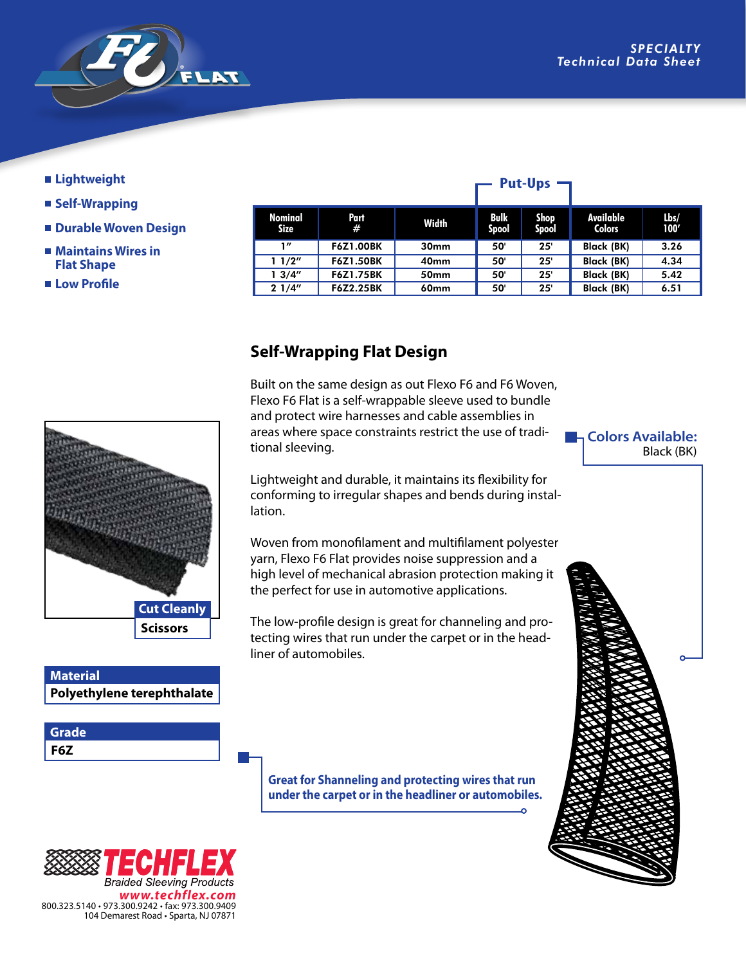

## **Lightweight**

- **Self-Wrapping**
- **Durable Woven Design**
- Maintains Wires in  **Flat Shape**

 **Low Profile**

| Nominal<br>Size | Part<br>#        | Width            | Bulk<br>Spool | Shop<br>Spool | Available<br><b>Colors</b> | Lbs/<br>100' |
|-----------------|------------------|------------------|---------------|---------------|----------------------------|--------------|
| 1"              | <b>F6Z1.00BK</b> | 30 <sub>mm</sub> | 50'           | 25'           | <b>Black (BK)</b>          | 3.26         |
| 11/2"           | <b>F6Z1.50BK</b> | 40 <sub>mm</sub> | 50'           | 25'           | <b>Black (BK)</b>          | 4.34         |
| 13/4''          | <b>F6Z1.75BK</b> | 50 <sub>mm</sub> | 50            | 25            | <b>Black (BK)</b>          | 5.42         |
| 21/4"           | <b>F6Z2.25BK</b> | <b>60mm</b>      | 50            | 25'           | <b>Black (BK)</b>          | 6.51         |

**Put-Ups** –

## **Self-Wrapping Flat Design**

Built on the same design as out Flexo F6 and F6 Woven, Flexo F6 Flat is a self-wrappable sleeve used to bundle and protect wire harnesses and cable assemblies in areas where space constraints restrict the use of traditional sleeving.

Lightweight and durable, it maintains its flexibility for conforming to irregular shapes and bends during installation.

Woven from monofilament and multifilament polyester yarn, Flexo F6 Flat provides noise suppression and a high level of mechanical abrasion protection making it the perfect for use in automotive applications.

The low-profile design is great for channeling and protecting wires that run under the carpet or in the headliner of automobiles.

**Great for Shanneling and protecting wires that run under the carpet or in the headliner or automobiles.**



**Polyethylene terephthalate**

**Scissors Cut Cleanly**

**Material**

**F6Z Grade**

**La Colors Available:** Black (BK)